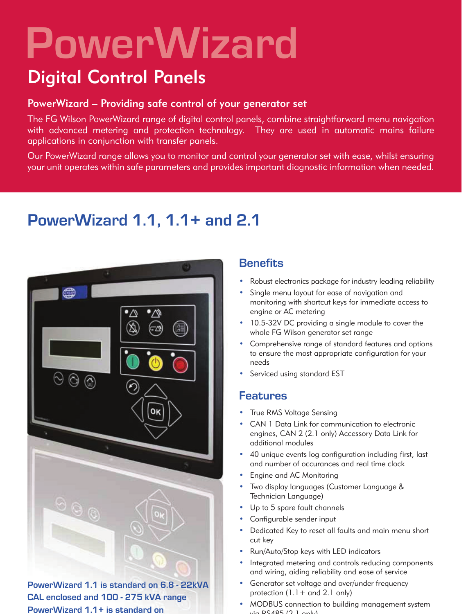# **PowerWizard**

## Digital Control Panels

#### PowerWizard – Providing safe control of your generator set

The FG Wilson PowerWizard range of digital control panels, combine straightforward menu navigation with advanced metering and protection technology. They are used in automatic mains failure applications in conjunction with transfer panels.

Our PowerWizard range allows you to monitor and control your generator set with ease, whilst ensuring your unit operates within safe parameters and provides important diagnostic information when needed.

## **PowerWizard 1.1, 1.1+ and 2.1**



**PowerWizard 1.1 is standard on 6.8 - 22kVA CAL enclosed and 100 - 275 kVA range PowerWizard 1.1+ is standard on** 

### **Benefits**

- Robust electronics package for industry leading reliability
- Single menu layout for ease of navigation and monitoring with shortcut keys for immediate access to engine or AC metering
- 10.5-32V DC providing a single module to cover the whole FG Wilson generator set range
- Comprehensive range of standard features and options to ensure the most appropriate configuration for your needs
- Serviced using standard EST

#### **Features**

- True RMS Voltage Sensing
- CAN 1 Data Link for communication to electronic engines, CAN 2 (2.1 only) Accessory Data Link for additional modules
- 40 unique events log configuration including first, last and number of occurances and real time clock
- Engine and AC Monitoring
- Two display languages (Customer Language & Technician Language)
- Up to 5 spare fault channels
- Configurable sender input
- Dedicated Key to reset all faults and main menu short cut key
- Run/Auto/Stop keys with LED indicators
- Integrated metering and controls reducing components and wiring, aiding reliability and ease of service
- Generator set voltage and over/under frequency protection  $(1.1 +$  and 2.1 only)
- MODBUS connection to building management system  $\therefore$  DC 405 (2.1 only)